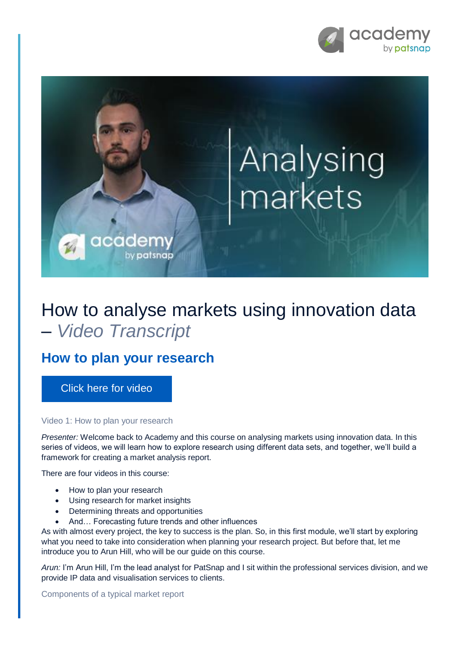

# Analysing markets

## How to analyse markets using innovation data – *Video Transcript*

### **How to plan your research**

cadem

by patsnap

[Click here for video](https://academy.patsnap.com/courses/5d2c741efd3f8874f6cf0bf9/units/5d2c7446fd3f8874f6cf0bfa#module-0)

#### Video 1: How to plan your research

*Presenter:* Welcome back to Academy and this course on analysing markets using innovation data. In this series of videos, we will learn how to explore research using different data sets, and together, we'll build a framework for creating a market analysis report.

There are four videos in this course:

- How to plan your research
- Using research for market insights
- Determining threats and opportunities
- And… Forecasting future trends and other influences

As with almost every project, the key to success is the plan. So, in this first module, we'll start by exploring what you need to take into consideration when planning your research project. But before that, let me introduce you to Arun Hill, who will be our guide on this course.

*Arun:* I'm Arun Hill, I'm the lead analyst for PatSnap and I sit within the professional services division, and we provide IP data and visualisation services to clients.

Components of a typical market report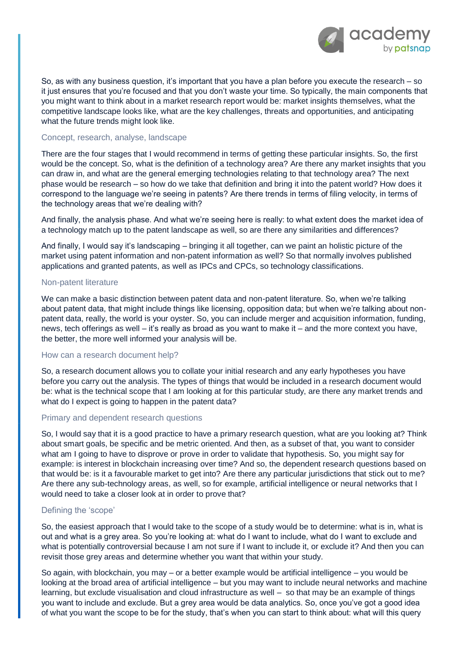

So, as with any business question, it's important that you have a plan before you execute the research – so it just ensures that you're focused and that you don't waste your time. So typically, the main components that you might want to think about in a market research report would be: market insights themselves, what the competitive landscape looks like, what are the key challenges, threats and opportunities, and anticipating what the future trends might look like.

#### Concept, research, analyse, landscape

There are the four stages that I would recommend in terms of getting these particular insights. So, the first would be the concept. So, what is the definition of a technology area? Are there any market insights that you can draw in, and what are the general emerging technologies relating to that technology area? The next phase would be research – so how do we take that definition and bring it into the patent world? How does it correspond to the language we're seeing in patents? Are there trends in terms of filing velocity, in terms of the technology areas that we're dealing with?

And finally, the analysis phase. And what we're seeing here is really: to what extent does the market idea of a technology match up to the patent landscape as well, so are there any similarities and differences?

And finally, I would say it's landscaping – bringing it all together, can we paint an holistic picture of the market using patent information and non-patent information as well? So that normally involves published applications and granted patents, as well as IPCs and CPCs, so technology classifications.

#### Non-patent literature

We can make a basic distinction between patent data and non-patent literature. So, when we're talking about patent data, that might include things like licensing, opposition data; but when we're talking about nonpatent data, really, the world is your oyster. So, you can include merger and acquisition information, funding, news, tech offerings as well – it's really as broad as you want to make it – and the more context you have, the better, the more well informed your analysis will be.

#### How can a research document help?

So, a research document allows you to collate your initial research and any early hypotheses you have before you carry out the analysis. The types of things that would be included in a research document would be: what is the technical scope that I am looking at for this particular study, are there any market trends and what do I expect is going to happen in the patent data?

#### Primary and dependent research questions

So, I would say that it is a good practice to have a primary research question, what are you looking at? Think about smart goals, be specific and be metric oriented. And then, as a subset of that, you want to consider what am I going to have to disprove or prove in order to validate that hypothesis. So, you might say for example: is interest in blockchain increasing over time? And so, the dependent research questions based on that would be: is it a favourable market to get into? Are there any particular jurisdictions that stick out to me? Are there any sub-technology areas, as well, so for example, artificial intelligence or neural networks that I would need to take a closer look at in order to prove that?

#### Defining the 'scope'

So, the easiest approach that I would take to the scope of a study would be to determine: what is in, what is out and what is a grey area. So you're looking at: what do I want to include, what do I want to exclude and what is potentially controversial because I am not sure if I want to include it, or exclude it? And then you can revisit those grey areas and determine whether you want that within your study.

So again, with blockchain, you may  $-$  or a better example would be artificial intelligence  $-$  you would be looking at the broad area of artificial intelligence – but you may want to include neural networks and machine learning, but exclude visualisation and cloud infrastructure as well – so that may be an example of things you want to include and exclude. But a grey area would be data analytics. So, once you've got a good idea of what you want the scope to be for the study, that's when you can start to think about: what will this query